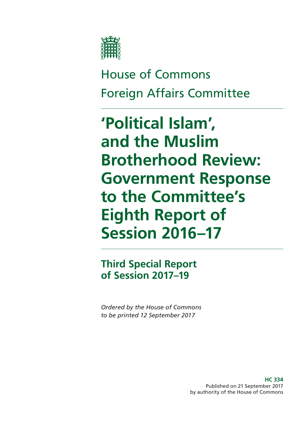

House of Commons Foreign Affairs Committee

**'Political Islam', and the Muslim Brotherhood Review: Government Response to the Committee's Eighth Report of Session 2016–17**

**Third Special Report of Session 2017–19**

*Ordered by the House of Commons to be printed 12 September 2017*

> **HC 334** Published on 21 September 2017 by authority of the House of Commons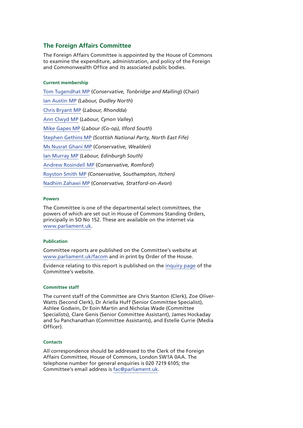## **The Foreign Affairs Committee**

The Foreign Affairs Committee is appointed by the House of Commons to examine the expenditure, administration, and policy of the Foreign and Commonwealth Office and its associated public bodies.

#### **Current membership**

[Tom Tugendhat MP](http://www.parliament.uk/biographies/commons/tom-tugendhat/4462) (*Conservative, Tonbridge and Malling*) (Chair) [Ian Austin MP](http://www.parliament.uk/biographies/commons/ian-austin/1511) *(Labour, Dudley North*) [Chris Bryant MP](http://www.parliament.uk/biographies/commons/chris-bryant/1446) (*Labour, Rhondda*) [Ann Clwyd MP](http://www.parliament.uk/biographies/commons/ann-clwyd/553) (*Labour, Cynon Valley*) [Mike Gapes MP](http://www.parliament.uk/biographies/commons/mike-gapes/184) (*Labour (Co-op), Ilford South*) [Stephen Gethins MP](http://www.parliament.uk/biographies/commons/stephen-gethins/4434) *(Scottish National Party, North East Fife)* [Ms Nusrat Ghani MP](http://www.parliament.uk/biographies/commons/ms-nusrat-ghani/4460) (*Conservative, Wealden*) [Ian Murray MP](http://www.parliament.uk/biographies/commons/ian-murray/3966) *(Labour, Edinburgh South)* [Andrew Rosindell MP](http://www.parliament.uk/biographies/commons/andrew-rosindell/1447) (*Conservative, Romford*) [Royston Smith MP](http://www.parliament.uk/biographies/commons/royston-smith/4478) *(Conservative, Southampton, Itchen)* [Nadhim Zahawi MP](http://www.parliament.uk/biographies/commons/nadhim-zahawi/4113) (*Conservative, Stratford-on-Avon*)

### **Powers**

The Committee is one of the departmental select committees, the powers of which are set out in House of Commons Standing Orders, principally in SO No 152. These are available on the internet via [www.parliament.uk](http://www.parliament.uk/).

### **Publication**

Committee reports are published on the Committee's website at [www.parliament.uk/facom](http://www.parliament.uk/facom) and in print by Order of the House.

Evidence relating to this report is published on the [inquiry page](http://www.parliament.uk/business/committees/committees-a-z/commons-select/foreign-affairs-committee/inquiries1/parliament-2015/political-islam-15-16/) of the Committee's website.

#### **Committee staff**

The current staff of the Committee are Chris Stanton (Clerk), Zoe Oliver-Watts (Second Clerk), Dr Ariella Huff (Senior Committee Specialist), Ashlee Godwin, Dr Eoin Martin and Nicholas Wade (Committee Specialists), Clare Genis (Senior Committee Assistant), James Hockaday and Su Panchanathan (Committee Assistants), and Estelle Currie (Media Officer).

#### **Contacts**

All correspondence should be addressed to the Clerk of the Foreign Affairs Committee, House of Commons, London SW1A 0AA. The telephone number for general enquiries is 020 7219 6105; the Committee's email address is [fac@parliament.uk.](mailto:fac@parliament.uk)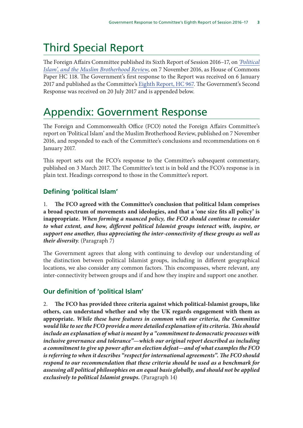# Third Special Report

The Foreign Affairs Committee published its Sixth Report of Session 2016–17, on *'Political Islam', and the Muslim Brotherhood Review*, on 7 November 2016, as House of Commons Paper HC 118. The Government's first response to the Report was received on 6 January 2017 and published as the Committee's Eighth Report, HC 967. The Government's Second Response was received on 20 July 2017 and is appended below.

# Appendix: Government Response

The Foreign and Commonwealth Office (FCO) noted the Foreign Affairs Committee's report on 'Political Islam' and the Muslim Brotherhood Review, published on 7 November 2016, and responded to each of the Committee's conclusions and recommendations on 6 January 2017.

This report sets out the FCO's response to the Committee's subsequent commentary, published on 3 March 2017. The Committee's text is in bold and the FCO's response is in plain text. Headings correspond to those in the Committee's report.

# **Defining 'political Islam'**

1. **The FCO agreed with the Committee's conclusion that political Islam comprises a broad spectrum of movements and ideologies, and that a 'one size fits all policy' is inappropriate***. When forming a nuanced policy, the FCO should continue to consider to what extent, and how, different political Islamist groups interact with, inspire, or support one another, thus appreciating the inter-connectivity of these groups as well as their diversity*. (Paragraph 7)

The Government agrees that along with continuing to develop our understanding of the distinction between political Islamist groups, including in different geographical locations, we also consider any common factors. This encompasses, where relevant, any inter-connectivity between groups and if and how they inspire and support one another.

# **Our definition of 'political Islam'**

2. **The FCO has provided three criteria against which political-Islamist groups, like others, can understand whether and why the UK regards engagement with them as appropriate.** *While these have features in common with our criteria, the Committee would like to see the FCO provide a more detailed explanation of its criteria. This should include an explanation of what is meant by a "commitment to democratic processes with inclusive governance and tolerance"—which our original report described as including a commitment to give up power after an election defeat—and of what examples the FCO is referring to when it describes "respect for international agreements". The FCO should respond to our recommendation that these criteria should be used as a benchmark for assessing all political philosophies on an equal basis globally, and should not be applied exclusively to political Islamist groups.* (Paragraph 14)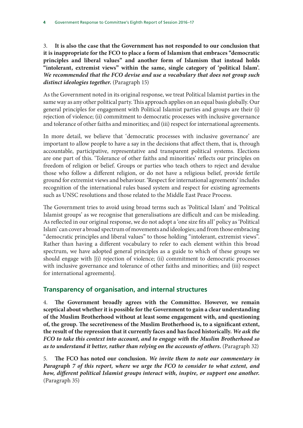3. **It is also the case that the Government has not responded to our conclusion that it is inappropriate for the FCO to place a form of Islamism that embraces "democratic principles and liberal values" and another form of Islamism that instead holds "intolerant, extremist views" within the same, single category of 'political Islam'.** *We recommended that the FCO devise and use a vocabulary that does not group such distinct ideologies together.* (Paragraph 15)

As the Government noted in its original response, we treat Political Islamist parties in the same way as any other political party. This approach applies on an equal basis globally. Our general principles for engagement with Political Islamist parties and groups are their (i) rejection of violence; (ii) commitment to democratic processes with inclusive governance and tolerance of other faiths and minorities; and (iii) respect for international agreements.

In more detail, we believe that 'democratic processes with inclusive governance' are important to allow people to have a say in the decisions that affect them, that is, through accountable, participative, representative and transparent political systems. Elections are one part of this. 'Tolerance of other faiths and minorities' reflects our principles on freedom of religion or belief. Groups or parties who teach others to reject and devalue those who follow a different religion, or do not have a religious belief, provide fertile ground for extremist views and behaviour. 'Respect for international agreements' includes recognition of the international rules based system and respect for existing agreements such as UNSC resolutions and those related to the Middle East Peace Process.

The Government tries to avoid using broad terms such as 'Political Islam' and 'Political Islamist groups' as we recognise that generalisations are difficult and can be misleading. As reflected in our original response, we do not adopt a 'one size fits all' policy as 'Political Islam' can cover a broad spectrum of movements and ideologies; and from those embracing "democratic principles and liberal values" to those holding "intolerant, extremist views". Rather than having a different vocabulary to refer to each element within this broad spectrum, we have adopted general principles as a guide to which of these groups we should engage with [(i) rejection of violence; (ii) commitment to democratic processes with inclusive governance and tolerance of other faiths and minorities; and (iii) respect for international agreements].

# **Transparency of organisation, and internal structures**

4. **The Government broadly agrees with the Committee. However, we remain sceptical about whether it is possible for the Government to gain a clear understanding of the Muslim Brotherhood without at least some engagement with, and questioning of, the group. The secretiveness of the Muslim Brotherhood is, to a significant extent, the result of the repression that it currently faces and has faced historically.** *We ask the FCO to take this context into account, and to engage with the Muslim Brotherhood so as to understand it better, rather than relying on the accounts of others.* (Paragraph 32)

5. **The FCO has noted our conclusion.** *We invite them to note our commentary in Paragraph 7 of this report, where we urge the FCO to consider to what extent, and how, different political Islamist groups interact with, inspire, or support one another.*  (Paragraph 35)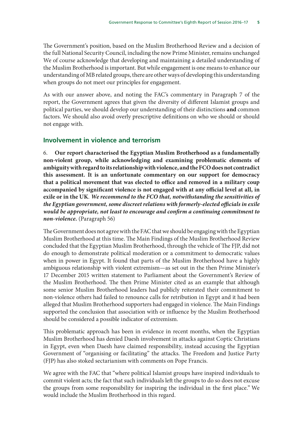The Government's position, based on the Muslim Brotherhood Review and a decision of the full National Security Council, including the now Prime Minister, remains unchanged We of course acknowledge that developing and maintaining a detailed understanding of the Muslim Brotherhood is important. But while engagement is one means to enhance our understanding of MB related groups, there are other ways of developing this understanding when groups do not meet our principles for engagement.

As with our answer above, and noting the FAC's commentary in Paragraph 7 of the report, the Government agrees that given the diversity of different Islamist groups and political parties, we should develop our understanding of their distinctions **and** common factors. We should also avoid overly prescriptive definitions on who we should or should not engage with.

## **Involvement in violence and terrorism**

6. **Our report characterised the Egyptian Muslim Brotherhood as a fundamentally non-violent group, while acknowledging and examining problematic elements of ambiguity with regard to its relationship with violence, and the FCO does not contradict this assessment. It is an unfortunate commentary on our support for democracy that a political movement that was elected to office and removed in a military coup accompanied by significant violence is not engaged with at any official level at all, in exile or in the UK***. We recommend to the FCO that, notwithstanding the sensitivities of the Egyptian government, some discreet relations with formerly-elected officials in exile would be appropriate, not least to encourage and confirm a continuing commitment to non-violence.* (Paragraph 56)

The Government does not agree with the FAC that we should be engaging with the Egyptian Muslim Brotherhood at this time. The Main Findings of the Muslim Brotherhood Review concluded that the Egyptian Muslim Brotherhood, through the vehicle of The FJP, did not do enough to demonstrate political moderation or a commitment to democratic values when in power in Egypt. It found that parts of the Muslim Brotherhood have a highly ambiguous relationship with violent extremism—as set out in the then Prime Minister's 17 December 2015 written statement to Parliament about the Government's Review of the Muslim Brotherhood. The then Prime Minister cited as an example that although some senior Muslim Brotherhood leaders had publicly reiterated their commitment to non-violence others had failed to renounce calls for retribution in Egypt and it had been alleged that Muslim Brotherhood supporters had engaged in violence. The Main Findings supported the conclusion that association with or influence by the Muslim Brotherhood should be considered a possible indicator of extremism.

This problematic approach has been in evidence in recent months, when the Egyptian Muslim Brotherhood has denied Daesh involvement in attacks against Coptic Christians in Egypt, even when Daesh have claimed responsibility, instead accusing the Egyptian Government of "organising or facilitating" the attacks. The Freedom and Justice Party (FJP) has also stoked sectarianism with comments on Pope Francis.

We agree with the FAC that "where political Islamist groups have inspired individuals to commit violent acts; the fact that such individuals left the groups to do so does not excuse the groups from some responsibility for inspiring the individual in the first place." We would include the Muslim Brotherhood in this regard.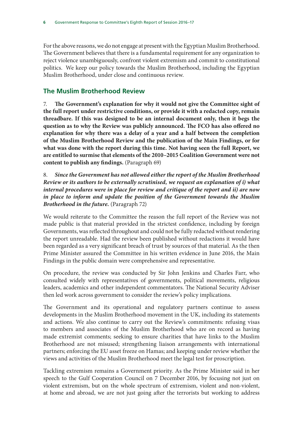For the above reasons, we do not engage at present with the Egyptian Muslim Brotherhood. The Government believes that there is a fundamental requirement for any organization to reject violence unambiguously, confront violent extremism and commit to constitutional politics. We keep our policy towards the Muslim Brotherhood, including the Egyptian Muslim Brotherhood, under close and continuous review.

# **The Muslim Brotherhood Review**

7. **The Government's explanation for why it would not give the Committee sight of the full report under restrictive conditions, or provide it with a redacted copy, remain threadbare. If this was designed to be an internal document only, then it begs the question as to why the Review was publicly announced. The FCO has also offered no explanation for why there was a delay of a year and a half between the completion of the Muslim Brotherhood Review and the publication of the Main Findings, or for what was done with the report during this time. Not having seen the full Report, we are entitled to surmise that elements of the 2010–2015 Coalition Government were not content to publish any findings.** (Paragraph 69)

8. *Since the Government has not allowed either the report of the Muslim Brotherhood Review or its authors to be externally scrutinised, we request an explanation of i) what internal procedures were in place for review and critique of the report and ii) are now in place to inform and update the position of the Government towards the Muslim Brotherhood in the future.* (Paragraph 72)

We would reiterate to the Committee the reason the full report of the Review was not made public is that material provided in the strictest confidence, including by foreign Governments, was reflected throughout and could not be fully redacted without rendering the report unreadable. Had the review been published without redactions it would have been regarded as a very significant breach of trust by sources of that material. As the then Prime Minister assured the Committee in his written evidence in June 2016, the Main Findings in the public domain were comprehensive and representative.

On procedure, the review was conducted by Sir John Jenkins and Charles Farr, who consulted widely with representatives of governments, political movements, religious leaders, academics and other independent commentators. The National Security Adviser then led work across government to consider the review's policy implications.

The Government and its operational and regulatory partners continue to assess developments in the Muslim Brotherhood movement in the UK, including its statements and actions. We also continue to carry out the Review's commitments: refusing visas to members and associates of the Muslim Brotherhood who are on record as having made extremist comments; seeking to ensure charities that have links to the Muslim Brotherhood are not misused; strengthening liaison arrangements with international partners; enforcing the EU asset freeze on Hamas; and keeping under review whether the views and activities of the Muslim Brotherhood meet the legal test for proscription.

Tackling extremism remains a Government priority. As the Prime Minister said in her speech to the Gulf Cooperation Council on 7 December 2016, by focusing not just on violent extremism, but on the whole spectrum of extremism, violent and non-violent, at home and abroad, we are not just going after the terrorists but working to address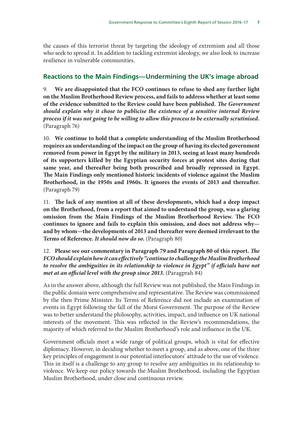the causes of this terrorist threat by targeting the ideology of extremism and all those who seek to spread it. In addition to tackling extremist ideology, we also look to increase resilience in vulnerable communities.

## **Reactions to the Main Findings—Undermining the UK's image abroad**

9. **We are disappointed that the FCO continues to refuse to shed any further light on the Muslim Brotherhood Review process, and fails to address whether at least some of the evidence submitted to the Review could have been published.** *The Government should explain why it chose to publicise the existence of a sensitive internal Review process if it was not going to be willing to allow this process to be externally scrutinised.* (Paragraph 76)

10. **We continue to hold that a complete understanding of the Muslim Brotherhood requires an understanding of the impact on the group of having its elected government removed from power in Egypt by the military in 2013, seeing at least many hundreds of its supporters killed by the Egyptian security forces at protest sites during that same year, and thereafter being both proscribed and broadly repressed in Egypt. The Main Findings only mentioned historic incidents of violence against the Muslim Brotherhood, in the 1950s and 1960s. It ignores the events of 2013 and thereafter.**  (Paragraph 79)

11. **The lack of any mention at all of these developments, which had a deep impact on the Brotherhood, from a report that aimed to understand the group, was a glaring omission from the Main Findings of the Muslim Brotherhood Review. The FCO continues to ignore and fails to explain this omission, and does not address why and by whom—the developments of 2013 and thereafter were deemed irrelevant to the Terms of Reference.** *It should now do so.* (Paragraph 80)

## 12. **Please see our commentary in Paragraph 79 and Paragraph 80 of this report.** *The FCO should explain how it can effectively "continue to challenge the Muslim Brotherhood to resolve the ambiguities in its relationship to violence in Egypt" if officials have not met at an official level with the group since 2013.* (Paragprah 84)

As in the answer above, although the full Review was not published, the Main Findings in the public domain were comprehensive and representative. The Review was commissioned by the then Prime Minister. Its Terms of Reference did not include an examination of events in Egypt following the fall of the Morsi Government. The purpose of the Review was to better understand the philosophy, activities, impact, and influence on UK national interests of the movement. This was reflected in the Review's recommendations, the majority of which referred to the Muslim Brotherhood's role and influence in the UK.

Government officials meet a wide range of political groups, which is vital for effective diplomacy. However, in deciding whether to meet a group, and as above, one of the three key principles of engagement is our potential interlocutors' attitude to the use of violence. This in itself is a challenge to any group to resolve any ambiguities in its relationship to violence. We keep our policy towards the Muslim Brotherhood, including the Egyptian Muslim Brotherhood, under close and continuous review.